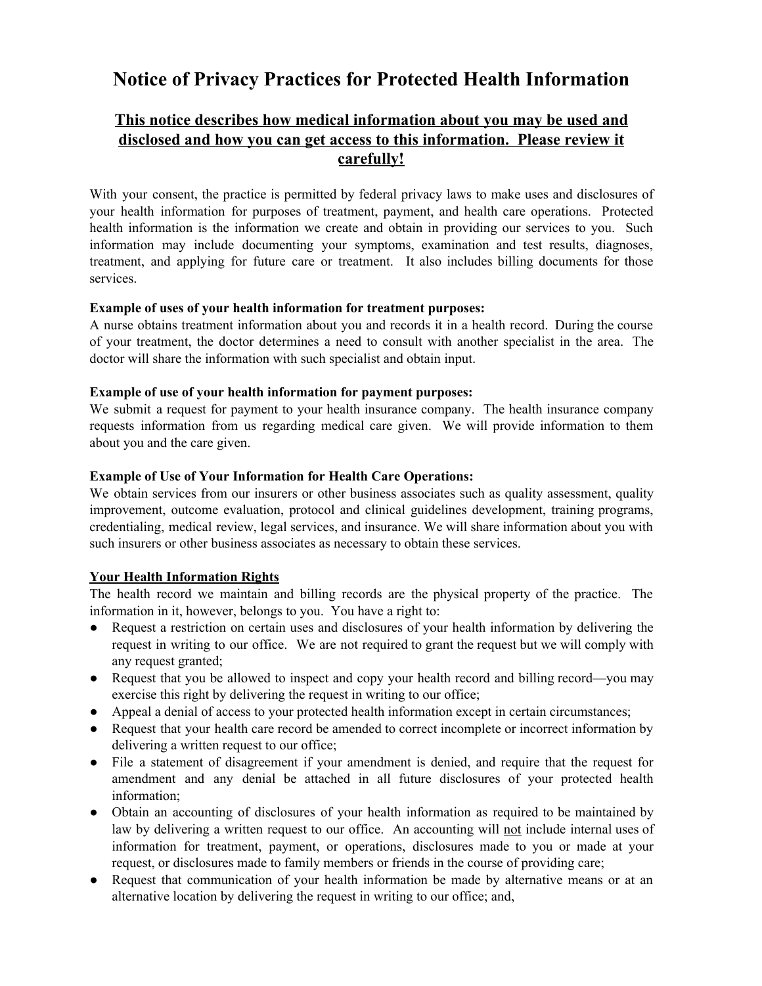# **Notice of Privacy Practices for Protected Health Information**

# **This notice describes how medical information about you may be used and disclosed and how you can get access to this information. Please review it carefully!**

With your consent, the practice is permitted by federal privacy laws to make uses and disclosures of your health information for purposes of treatment, payment, and health care operations. Protected health information is the information we create and obtain in providing our services to you. Such information may include documenting your symptoms, examination and test results, diagnoses, treatment, and applying for future care or treatment. It also includes billing documents for those services.

#### **Example of uses of your health information for treatment purposes:**

A nurse obtains treatment information about you and records it in a health record. During the course of your treatment, the doctor determines a need to consult with another specialist in the area. The doctor will share the information with such specialist and obtain input.

#### **Example of use of your health information for payment purposes:**

We submit a request for payment to your health insurance company. The health insurance company requests information from us regarding medical care given. We will provide information to them about you and the care given.

# **Example of Use of Your Information for Health Care Operations:**

We obtain services from our insurers or other business associates such as quality assessment, quality improvement, outcome evaluation, protocol and clinical guidelines development, training programs, credentialing, medical review, legal services, and insurance. We will share information about you with such insurers or other business associates as necessary to obtain these services.

# **Your Health Information Rights**

The health record we maintain and billing records are the physical property of the practice. The information in it, however, belongs to you. You have a right to:

- Request a restriction on certain uses and disclosures of your health information by delivering the request in writing to our office. We are not required to grant the request but we will comply with any request granted;
- Request that you be allowed to inspect and copy your health record and billing record—you may exercise this right by delivering the request in writing to our office;
- Appeal a denial of access to your protected health information except in certain circumstances;
- Request that your health care record be amended to correct incomplete or incorrect information by delivering a written request to our office;
- File a statement of disagreement if your amendment is denied, and require that the request for amendment and any denial be attached in all future disclosures of your protected health information;
- Obtain an accounting of disclosures of your health information as required to be maintained by law by delivering a written request to our office. An accounting will not include internal uses of information for treatment, payment, or operations, disclosures made to you or made at your request, or disclosures made to family members or friends in the course of providing care;
- Request that communication of your health information be made by alternative means or at an alternative location by delivering the request in writing to our office; and,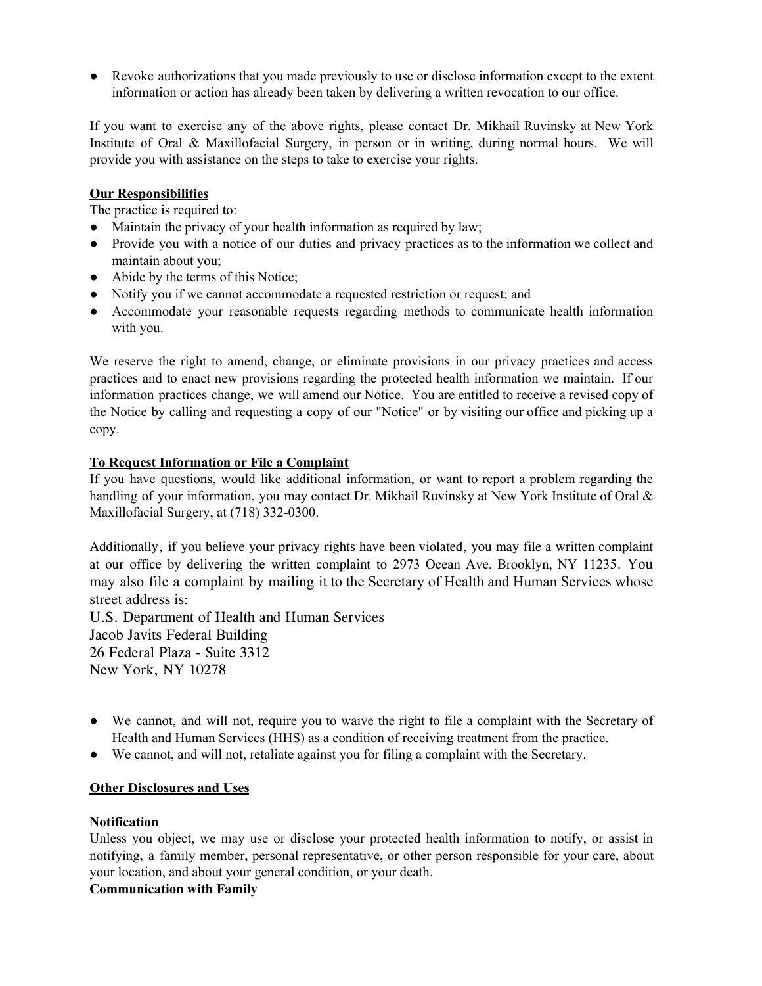● Revoke authorizations that you made previously to use or disclose information except to the extent information or action has already been taken by delivering a written revocation to our office.

If you want to exercise any of the above rights, please contact Dr. Mikhail Ruvinsky at New York Institute of Oral & Maxillofacial Surgery, in person or in writing, during normal hours. We will provide you with assistance on the steps to take to exercise your rights.

# **Our Responsibilities**

The practice is required to:

- Maintain the privacy of your health information as required by law;
- Provide you with a notice of our duties and privacy practices as to the information we collect and maintain about you;
- Abide by the terms of this Notice;
- Notify you if we cannot accommodate a requested restriction or request; and
- Accommodate your reasonable requests regarding methods to communicate health information with you.

We reserve the right to amend, change, or eliminate provisions in our privacy practices and access practices and to enact new provisions regarding the protected health information we maintain. If our information practices change, we will amend our Notice. You are entitled to receive a revised copy of the Notice by calling and requesting a copy of our "Notice" or by visiting our office and picking up a copy.

# **To Request Information or File a Complaint**

If you have questions, would like additional information, or want to report a problem regarding the handling of your information, you may contact Dr. Mikhail Ruvinsky at New York Institute of Oral & Maxillofacial Surgery, at (718) 332-0300.

Additionally, if you believe your privacy rights have been violated, you may file a written complaint at our office by delivering the written complaint to 2973 Ocean Ave. Brooklyn, NY 11235. You may also file a complaint by mailing it to the Secretary of Health and Human Services whose street address is:

U.S. Department of Health and Human Services Jacob Javits Federal Building 26 Federal Plaza - Suite 3312 New York, NY 10278

- We cannot, and will not, require you to waive the right to file a complaint with the Secretary of Health and Human Services (HHS) as a condition of receiving treatment from the practice.
- We cannot, and will not, retaliate against you for filing a complaint with the Secretary.

#### **Other Disclosures and Uses**

#### **Notification**

Unless you object, we may use or disclose your protected health information to notify, or assist in notifying, a family member, personal representative, or other person responsible for your care, about your location, and about your general condition, or your death.

# **Communication with Family**